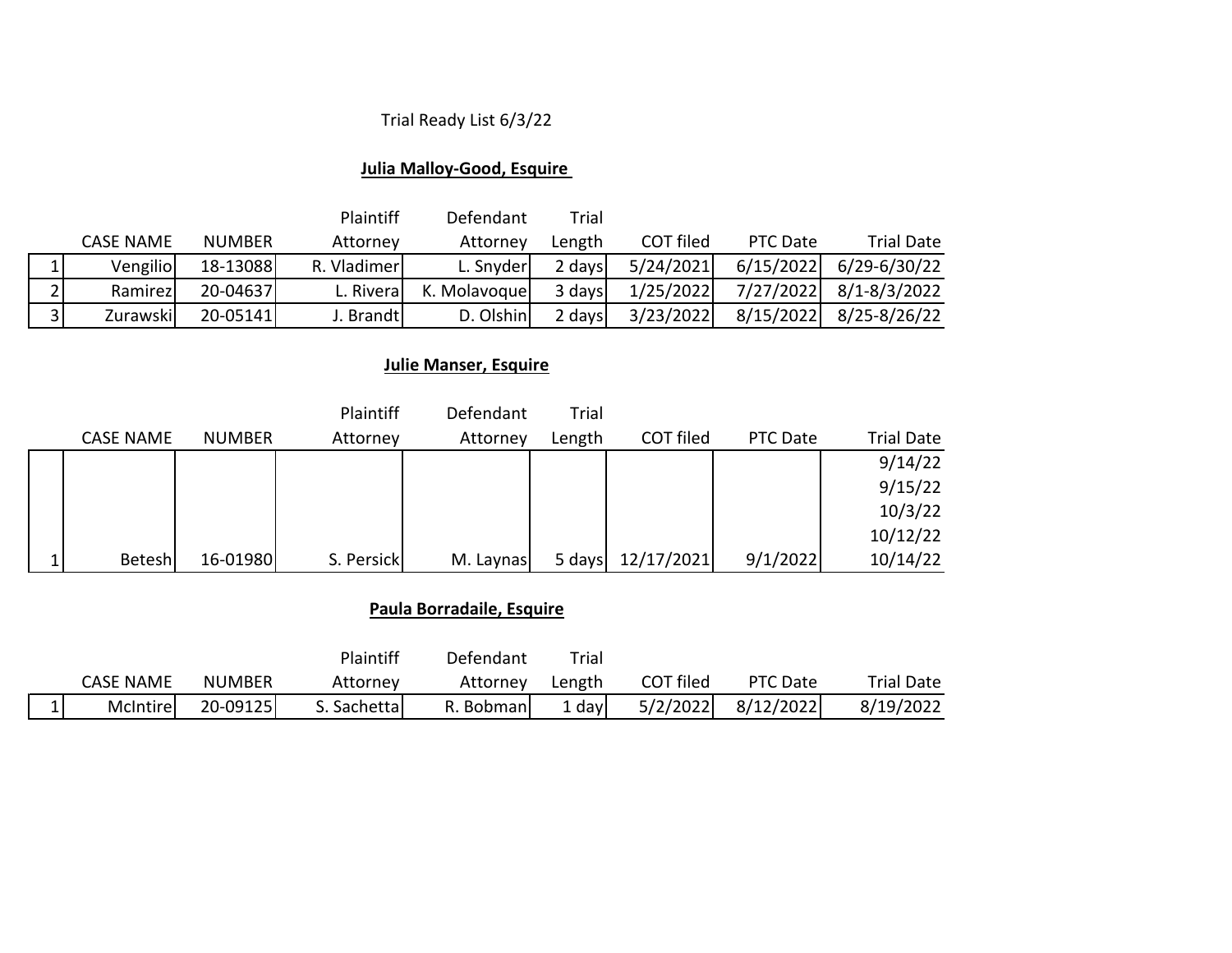# Trial Ready List 6/3/22

## **Julia Malloy-Good, Esquire**

|                |           |               | <b>Plaintiff</b> | Defendant     | Trial  |           |           |                   |
|----------------|-----------|---------------|------------------|---------------|--------|-----------|-----------|-------------------|
|                | CASE NAME | <b>NUMBER</b> | Attorney         | Attorney      | Length | COT filed | PTC Date  | <b>Trial Date</b> |
|                | Vengilio  | 18-13088      | R. Vladimer      | L. Snyder     | 2 days | 5/24/2021 | 6/15/2022 | $6/29 - 6/30/22$  |
|                | Ramirez   | 20-04637      | L. Riveral       | K. Molavoquel | 3 days | 1/25/2022 | 7/27/2022 | $8/1 - 8/3/2022$  |
| 3 <sub>1</sub> | Zurawski  | 20-05141      | J. Brandt        | D. Olshin     | 2 days | 3/23/2022 | 8/15/2022 | $8/25 - 8/26/22$  |

# **Julie Manser, Esquire**

|                  |               | Plaintiff  | Defendant | Trial  |            |          |                   |
|------------------|---------------|------------|-----------|--------|------------|----------|-------------------|
| <b>CASE NAME</b> | <b>NUMBER</b> | Attorney   | Attorney  | Length | COT filed  | PTC Date | <b>Trial Date</b> |
|                  |               |            |           |        |            |          | 9/14/22           |
|                  |               |            |           |        |            |          | 9/15/22           |
|                  |               |            |           |        |            |          | 10/3/22           |
|                  |               |            |           |        |            |          | 10/12/22          |
| Betesh           | 16-01980      | S. Persick | M. Laynas | 5 days | 12/17/2021 | 9/1/2022 | 10/14/22          |

## **Paula Borradaile, Esquire**

|               |                  |               | Plaintiff    | Defendant  | Trial  |           |           |            |
|---------------|------------------|---------------|--------------|------------|--------|-----------|-----------|------------|
|               | <b>CASE NAME</b> | <b>NUMBER</b> | Attorney     | Attorney   | Length | COT filed | PTC Date  | Trial Date |
| <u>. на п</u> | McIntirel        | 20-09125      | S. Sachettal | R. Bobmanl | davl   | 5/2/2022  | 8/12/2022 | 8/19/2022  |